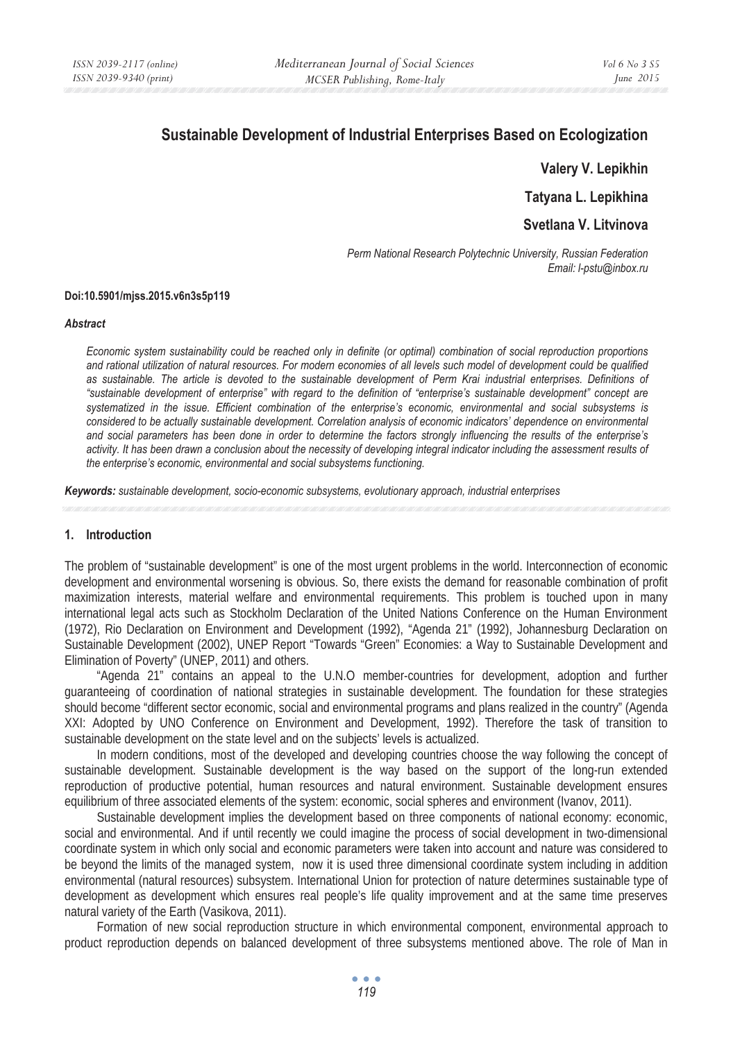# **Sustainable Development of Industrial Enterprises Based on Ecologization**

**Valery V. Lepikhin** 

**ɍatyana L. Lepikhina** 

**Svetlana V. Litvinova** 

*Perm National Research Polytechnic University, Russian Federation Email: l-pstu@inbox.ru* 

### **Doi:10.5901/mjss.2015.v6n3s5p119**

#### *Abstract*

*Economic system sustainability could be reached only in definite (or optimal) combination of social reproduction proportions and rational utilization of natural resources. For modern economies of all levels such model of development could be qualified*  as sustainable. The article is devoted to the sustainable development of Perm Krai industrial enterprises. Definitions of *"sustainable development of enterprise" with regard to the definition of "enterprise's sustainable development" concept are systematized in the issue. Efficient combination of the enterprise's economic, environmental and social subsystems is considered to be actually sustainable development. Correlation analysis of economic indicators' dependence on environmental and social parameters has been done in order to determine the factors strongly influencing the results of the enterprise's*  activity. It has been drawn a conclusion about the necessity of developing integral indicator including the assessment results of *the enterprise's economic, environmental and social subsystems functioning.* 

*Keywords: sustainable development, socio-economic subsystems, evolutionary approach, industrial enterprises* 

## **1. Introduction**

The problem of "sustainable development" is one of the most urgent problems in the world. Interconnection of economic development and environmental worsening is obvious. So, there exists the demand for reasonable combination of profit maximization interests, material welfare and environmental requirements. This problem is touched upon in many international legal acts such as Stockholm Declaration of the United Nations Conference on the Human Environment (1972), Rio Declaration on Environment and Development (1992), "Agenda 21" (1992), Johannesburg Declaration on Sustainable Development (2002), UNEP Report "Towards "Green" Economies: a Way to Sustainable Development and Elimination of Poverty" (UNEP, 2011) and others.

"Agenda 21" contains an appeal to the U.N.O member-countries for development, adoption and further guaranteeing of coordination of national strategies in sustainable development. The foundation for these strategies should become "different sector economic, social and environmental programs and plans realized in the country" (Agenda XXI: Adopted by UNO Conference on Environment and Development, 1992). Therefore the task of transition to sustainable development on the state level and on the subjects' levels is actualized.

In modern conditions, most of the developed and developing countries choose the way following the concept of sustainable development. Sustainable development is the way based on the support of the long-run extended reproduction of productive potential, human resources and natural environment. Sustainable development ensures equilibrium of three associated elements of the system: economic, social spheres and environment (Ivanov, 2011).

Sustainable development implies the development based on three components of national economy: economic, social and environmental. And if until recently we could imagine the process of social development in two-dimensional coordinate system in which only social and economic parameters were taken into account and nature was considered to be beyond the limits of the managed system, now it is used three dimensional coordinate system including in addition environmental (natural resources) subsystem. International Union for protection of nature determines sustainable type of development as development which ensures real people's life quality improvement and at the same time preserves natural variety of the Earth (Vasikova, 2011).

Formation of new social reproduction structure in which environmental component, environmental approach to product reproduction depends on balanced development of three subsystems mentioned above. The role of Man in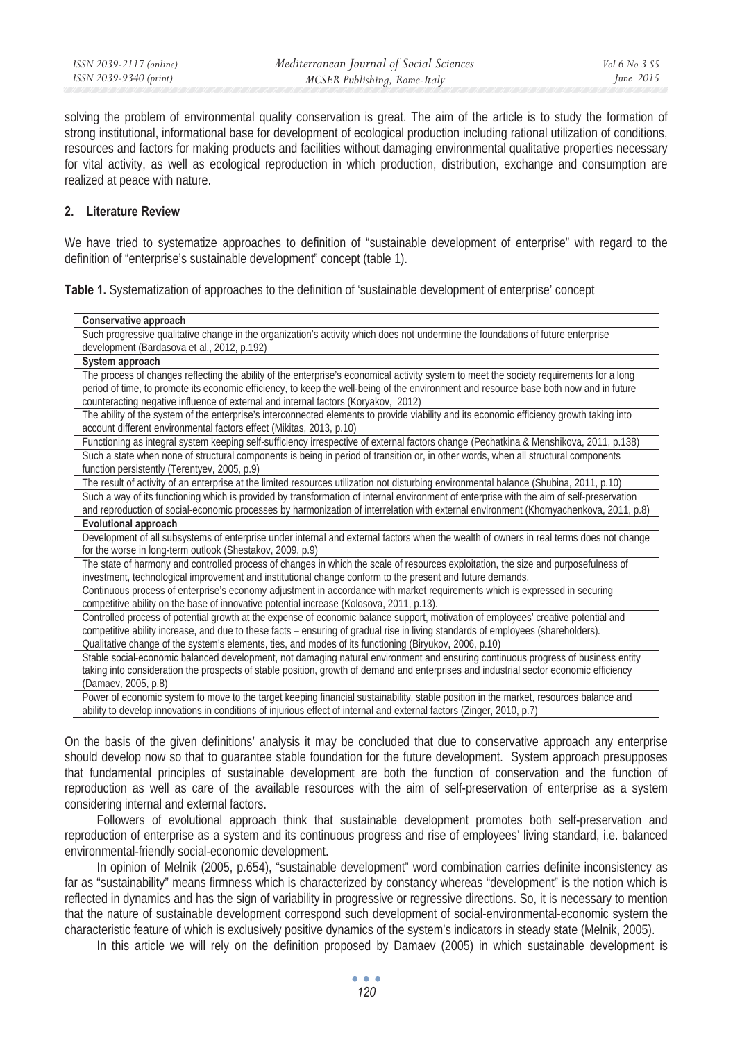solving the problem of environmental quality conservation is great. The aim of the article is to study the formation of strong institutional, informational base for development of ecological production including rational utilization of conditions, resources and factors for making products and facilities without damaging environmental qualitative properties necessary for vital activity, as well as ecological reproduction in which production, distribution, exchange and consumption are realized at peace with nature.

## **2. Literature Review**

We have tried to systematize approaches to definition of "sustainable development of enterprise" with regard to the definition of "enterprise's sustainable development" concept (table 1).

**Table 1.** Systematization of approaches to the definition of 'sustainable development of enterprise' concept

| Conservative approach                                                                                                                                                                                                                                                              |
|------------------------------------------------------------------------------------------------------------------------------------------------------------------------------------------------------------------------------------------------------------------------------------|
| Such progressive qualitative change in the organization's activity which does not undermine the foundations of future enterprise                                                                                                                                                   |
| development (Bardasova et al., 2012, p.192)                                                                                                                                                                                                                                        |
| System approach                                                                                                                                                                                                                                                                    |
| The process of changes reflecting the ability of the enterprise's economical activity system to meet the society requirements for a long                                                                                                                                           |
| period of time, to promote its economic efficiency, to keep the well-being of the environment and resource base both now and in future<br>counteracting negative influence of external and internal factors (Koryakov, 2012)                                                       |
| The ability of the system of the enterprise's interconnected elements to provide viability and its economic efficiency growth taking into<br>account different environmental factors effect (Mikitas, 2013, p.10)                                                                  |
| Functioning as integral system keeping self-sufficiency irrespective of external factors change (Pechatkina & Menshikova, 2011, p.138)                                                                                                                                             |
| Such a state when none of structural components is being in period of transition or, in other words, when all structural components<br>function persistently (Terentyev, 2005, p.9)                                                                                                |
| The result of activity of an enterprise at the limited resources utilization not disturbing environmental balance (Shubina, 2011, p.10)                                                                                                                                            |
| Such a way of its functioning which is provided by transformation of internal environment of enterprise with the aim of self-preservation<br>and reproduction of social-economic processes by harmonization of interrelation with external environment (Khomyachenkova, 2011, p.8) |
| <b>Evolutional approach</b>                                                                                                                                                                                                                                                        |
| Development of all subsystems of enterprise under internal and external factors when the wealth of owners in real terms does not change<br>for the worse in long-term outlook (Shestakov, 2009, p.9)                                                                               |
| The state of harmony and controlled process of changes in which the scale of resources exploitation, the size and purposefulness of                                                                                                                                                |
| investment, technological improvement and institutional change conform to the present and future demands.<br>Continuous process of enterprise's economy adjustment in accordance with market requirements which is expressed in securing                                           |
| competitive ability on the base of innovative potential increase (Kolosova, 2011, p.13).                                                                                                                                                                                           |
| Controlled process of potential growth at the expense of economic balance support, motivation of employees' creative potential and                                                                                                                                                 |
| competitive ability increase, and due to these facts – ensuring of gradual rise in living standards of employees (shareholders).<br>Qualitative change of the system's elements, ties, and modes of its functioning (Biryukov, 2006, p.10)                                         |
| Stable social-economic balanced development, not damaging natural environment and ensuring continuous progress of business entity                                                                                                                                                  |
| taking into consideration the prospects of stable position, growth of demand and enterprises and industrial sector economic efficiency                                                                                                                                             |
| (Damaev, 2005, p.8)                                                                                                                                                                                                                                                                |
| Power of economic system to move to the target keeping financial sustainability, stable position in the market, resources balance and                                                                                                                                              |
| ability to develop innovations in conditions of injurious effect of internal and external factors (Zinger, 2010, p.7)                                                                                                                                                              |

On the basis of the given definitions' analysis it may be concluded that due to conservative approach any enterprise should develop now so that to guarantee stable foundation for the future development. System approach presupposes that fundamental principles of sustainable development are both the function of conservation and the function of reproduction as well as care of the available resources with the aim of self-preservation of enterprise as a system considering internal and external factors.

Followers of evolutional approach think that sustainable development promotes both self-preservation and reproduction of enterprise as a system and its continuous progress and rise of employees' living standard, i.e. balanced environmental-friendly social-economic development.

In opinion of Melnik (2005, p.654), "sustainable development" word combination carries definite inconsistency as far as "sustainability" means firmness which is characterized by constancy whereas "development" is the notion which is reflected in dynamics and has the sign of variability in progressive or regressive directions. So, it is necessary to mention that the nature of sustainable development correspond such development of social-environmental-economic system the characteristic feature of which is exclusively positive dynamics of the system's indicators in steady state (Melnik, 2005).

In this article we will rely on the definition proposed by Damaev (2005) in which sustainable development is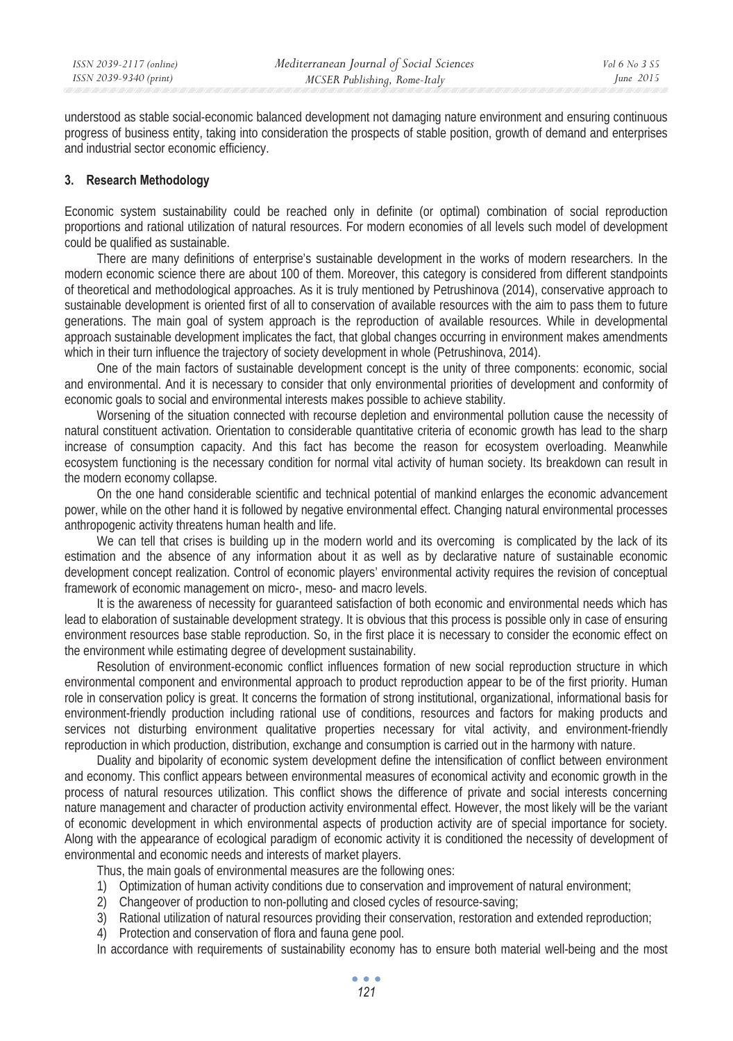understood as stable social-economic balanced development not damaging nature environment and ensuring continuous progress of business entity, taking into consideration the prospects of stable position, growth of demand and enterprises and industrial sector economic efficiency.

# **3. Research Methodology**

Economic system sustainability could be reached only in definite (or optimal) combination of social reproduction proportions and rational utilization of natural resources. For modern economies of all levels such model of development could be qualified as sustainable.

There are many definitions of enterprise's sustainable development in the works of modern researchers. In the modern economic science there are about 100 of them. Moreover, this category is considered from different standpoints of theoretical and methodological approaches. As it is truly mentioned by Petrushinova (2014), conservative approach to sustainable development is oriented first of all to conservation of available resources with the aim to pass them to future generations. The main goal of system approach is the reproduction of available resources. While in developmental approach sustainable development implicates the fact, that global changes occurring in environment makes amendments which in their turn influence the trajectory of society development in whole (Petrushinova, 2014).

One of the main factors of sustainable development concept is the unity of three components: economic, social and environmental. And it is necessary to consider that only environmental priorities of development and conformity of economic goals to social and environmental interests makes possible to achieve stability.

Worsening of the situation connected with recourse depletion and environmental pollution cause the necessity of natural constituent activation. Orientation to considerable quantitative criteria of economic growth has lead to the sharp increase of consumption capacity. And this fact has become the reason for ecosystem overloading. Meanwhile ecosystem functioning is the necessary condition for normal vital activity of human society. Its breakdown can result in the modern economy collapse.

On the one hand considerable scientific and technical potential of mankind enlarges the economic advancement power, while on the other hand it is followed by negative environmental effect. Changing natural environmental processes anthropogenic activity threatens human health and life.

We can tell that crises is building up in the modern world and its overcoming is complicated by the lack of its estimation and the absence of any information about it as well as by declarative nature of sustainable economic development concept realization. Control of economic players' environmental activity requires the revision of conceptual framework of economic management on micro-, meso- and macro levels.

It is the awareness of necessity for guaranteed satisfaction of both economic and environmental needs which has lead to elaboration of sustainable development strategy. It is obvious that this process is possible only in case of ensuring environment resources base stable reproduction. So, in the first place it is necessary to consider the economic effect on the environment while estimating degree of development sustainability.

Resolution of environment-economic conflict influences formation of new social reproduction structure in which environmental component and environmental approach to product reproduction appear to be of the first priority. Human role in conservation policy is great. It concerns the formation of strong institutional, organizational, informational basis for environment-friendly production including rational use of conditions, resources and factors for making products and services not disturbing environment qualitative properties necessary for vital activity, and environment-friendly reproduction in which production, distribution, exchange and consumption is carried out in the harmony with nature.

Duality and bipolarity of economic system development define the intensification of conflict between environment and economy. This conflict appears between environmental measures of economical activity and economic growth in the process of natural resources utilization. This conflict shows the difference of private and social interests concerning nature management and character of production activity environmental effect. However, the most likely will be the variant of economic development in which environmental aspects of production activity are of special importance for society. Along with the appearance of ecological paradigm of economic activity it is conditioned the necessity of development of environmental and economic needs and interests of market players.

Thus, the main goals of environmental measures are the following ones:

- 1) Optimization of human activity conditions due to conservation and improvement of natural environment;
- 2) Changeover of production to non-polluting and closed cycles of resource-saving;
- 3) Rational utilization of natural resources providing their conservation, restoration and extended reproduction;
- 4) Protection and conservation of flora and fauna gene pool.

In accordance with requirements of sustainability economy has to ensure both material well-being and the most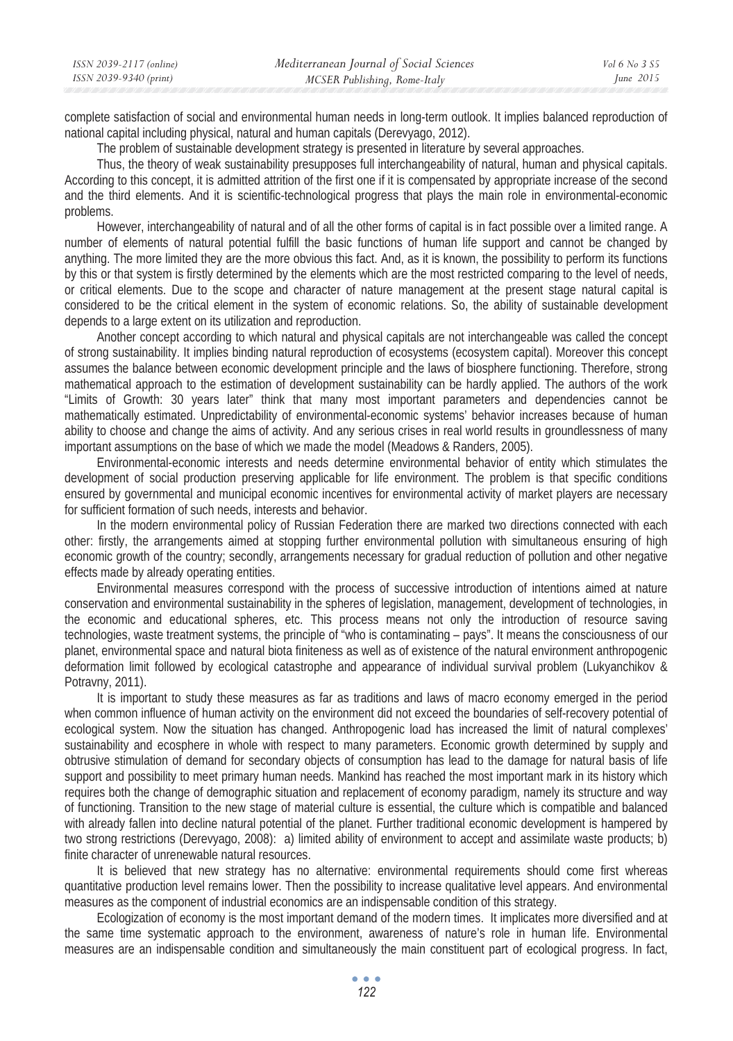| ISSN 2039-2117 (online) | Mediterranean Journal of Social Sciences | Vol 6 No. 3 S5 |
|-------------------------|------------------------------------------|----------------|
| ISSN 2039-9340 (print)  | MCSER Publishing, Rome-Italy             | June $2015$    |

complete satisfaction of social and environmental human needs in long-term outlook. It implies balanced reproduction of national capital including physical, natural and human capitals (Derevyago, 2012).

The problem of sustainable development strategy is presented in literature by several approaches.

Thus, the theory of weak sustainability presupposes full interchangeability of natural, human and physical capitals. According to this concept, it is admitted attrition of the first one if it is compensated by appropriate increase of the second and the third elements. And it is scientific-technological progress that plays the main role in environmental-economic problems.

However, interchangeability of natural and of all the other forms of capital is in fact possible over a limited range. A number of elements of natural potential fulfill the basic functions of human life support and cannot be changed by anything. The more limited they are the more obvious this fact. And, as it is known, the possibility to perform its functions by this or that system is firstly determined by the elements which are the most restricted comparing to the level of needs, or critical elements. Due to the scope and character of nature management at the present stage natural capital is considered to be the critical element in the system of economic relations. So, the ability of sustainable development depends to a large extent on its utilization and reproduction.

Another concept according to which natural and physical capitals are not interchangeable was called the concept of strong sustainability. It implies binding natural reproduction of ecosystems (ecosystem capital). Moreover this concept assumes the balance between economic development principle and the laws of biosphere functioning. Therefore, strong mathematical approach to the estimation of development sustainability can be hardly applied. The authors of the work "Limits of Growth: 30 years later" think that many most important parameters and dependencies cannot be mathematically estimated. Unpredictability of environmental-economic systems' behavior increases because of human ability to choose and change the aims of activity. And any serious crises in real world results in groundlessness of many important assumptions on the base of which we made the model (Meadows & Randers, 2005).

Environmental-economic interests and needs determine environmental behavior of entity which stimulates the development of social production preserving applicable for life environment. The problem is that specific conditions ensured by governmental and municipal economic incentives for environmental activity of market players are necessary for sufficient formation of such needs, interests and behavior.

In the modern environmental policy of Russian Federation there are marked two directions connected with each other: firstly, the arrangements aimed at stopping further environmental pollution with simultaneous ensuring of high economic growth of the country; secondly, arrangements necessary for gradual reduction of pollution and other negative effects made by already operating entities.

Environmental measures correspond with the process of successive introduction of intentions aimed at nature conservation and environmental sustainability in the spheres of legislation, management, development of technologies, in the economic and educational spheres, etc. This process means not only the introduction of resource saving technologies, waste treatment systems, the principle of "who is contaminating – pays". It means the consciousness of our planet, environmental space and natural biota finiteness as well as of existence of the natural environment anthropogenic deformation limit followed by ecological catastrophe and appearance of individual survival problem (Lukyanchikov & Potravny, 2011).

It is important to study these measures as far as traditions and laws of macro economy emerged in the period when common influence of human activity on the environment did not exceed the boundaries of self-recovery potential of ecological system. Now the situation has changed. Anthropogenic load has increased the limit of natural complexes' sustainability and ecosphere in whole with respect to many parameters. Economic growth determined by supply and obtrusive stimulation of demand for secondary objects of consumption has lead to the damage for natural basis of life support and possibility to meet primary human needs. Mankind has reached the most important mark in its history which requires both the change of demographic situation and replacement of economy paradigm, namely its structure and way of functioning. Transition to the new stage of material culture is essential, the culture which is compatible and balanced with already fallen into decline natural potential of the planet. Further traditional economic development is hampered by two strong restrictions (Derevyago, 2008): a) limited ability of environment to accept and assimilate waste products; b) finite character of unrenewable natural resources.

It is believed that new strategy has no alternative: environmental requirements should come first whereas quantitative production level remains lower. Then the possibility to increase qualitative level appears. And environmental measures as the component of industrial economics are an indispensable condition of this strategy.

Ecologization of economy is the most important demand of the modern times. It implicates more diversified and at the same time systematic approach to the environment, awareness of nature's role in human life. Environmental measures are an indispensable condition and simultaneously the main constituent part of ecological progress. In fact,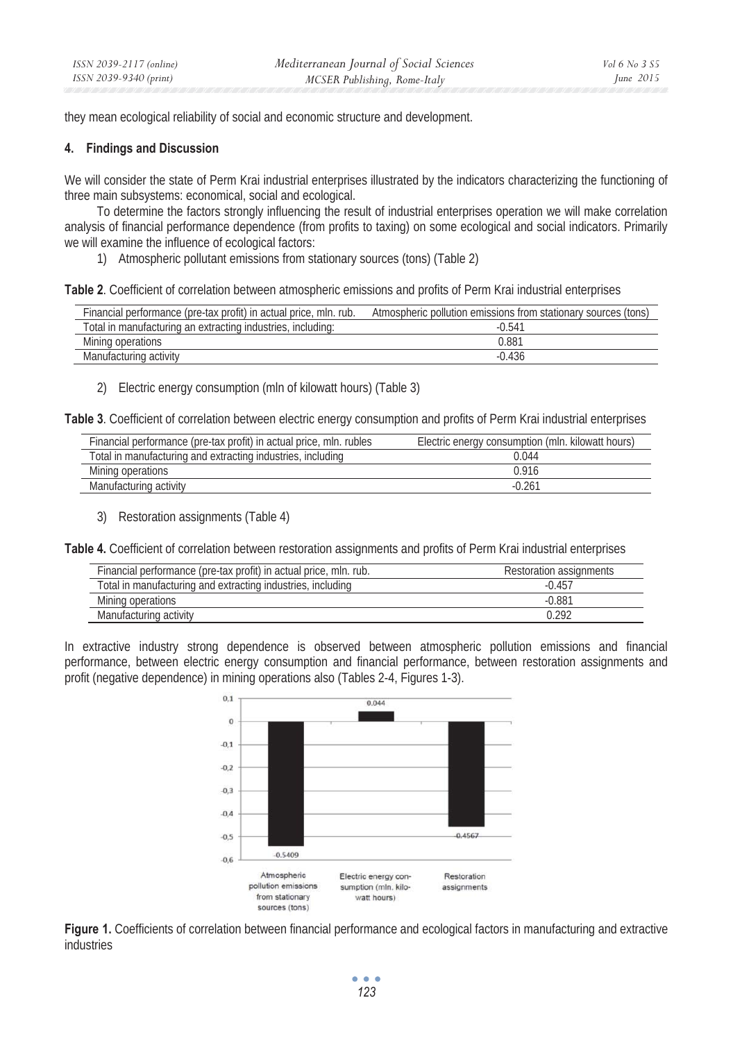they mean ecological reliability of social and economic structure and development.

# **4. Findings and Discussion**

We will consider the state of Perm Krai industrial enterprises illustrated by the indicators characterizing the functioning of three main subsystems: economical, social and ecological.

To determine the factors strongly influencing the result of industrial enterprises operation we will make correlation analysis of financial performance dependence (from profits to taxing) on some ecological and social indicators. Primarily we will examine the influence of ecological factors:

1) Atmospheric pollutant emissions from stationary sources (tons) (Table 2)

**Table 2**. Coefficient of correlation between atmospheric emissions and profits of Perm Krai industrial enterprises

| Financial performance (pre-tax profit) in actual price, mln. rub. | Atmospheric pollution emissions from stationary sources (tons) |
|-------------------------------------------------------------------|----------------------------------------------------------------|
| Total in manufacturing an extracting industries, including:       | $-0.541$                                                       |
| Mining operations                                                 | 0.881                                                          |
| Manufacturing activity                                            | $-0.436$                                                       |

2) Electric energy consumption (mln of kilowatt hours) (Table 3)

**Table 3**. Coefficient of correlation between electric energy consumption and profits of Perm Krai industrial enterprises

| Financial performance (pre-tax profit) in actual price, mln. rubles | Electric energy consumption (mln. kilowatt hours) |
|---------------------------------------------------------------------|---------------------------------------------------|
| Total in manufacturing and extracting industries, including         | 0.044                                             |
| Mining operations                                                   | በ 916                                             |
| Manufacturing activity                                              | $-0.261$                                          |

3) Restoration assignments (Table 4)

**Table 4.** Coefficient of correlation between restoration assignments and profits of Perm Krai industrial enterprises

| Financial performance (pre-tax profit) in actual price, mln. rub. | Restoration assignments |
|-------------------------------------------------------------------|-------------------------|
| Total in manufacturing and extracting industries, including       | $-0.457$                |
| Mining operations                                                 | $-0.881$                |
| Manufacturing activity                                            | 0.292                   |

In extractive industry strong dependence is observed between atmospheric pollution emissions and financial performance, between electric energy consumption and financial performance, between restoration assignments and profit (negative dependence) in mining operations also (Tables 2-4, Figures 1-3).



**Figure 1.** Coefficients of correlation between financial performance and ecological factors in manufacturing and extractive industries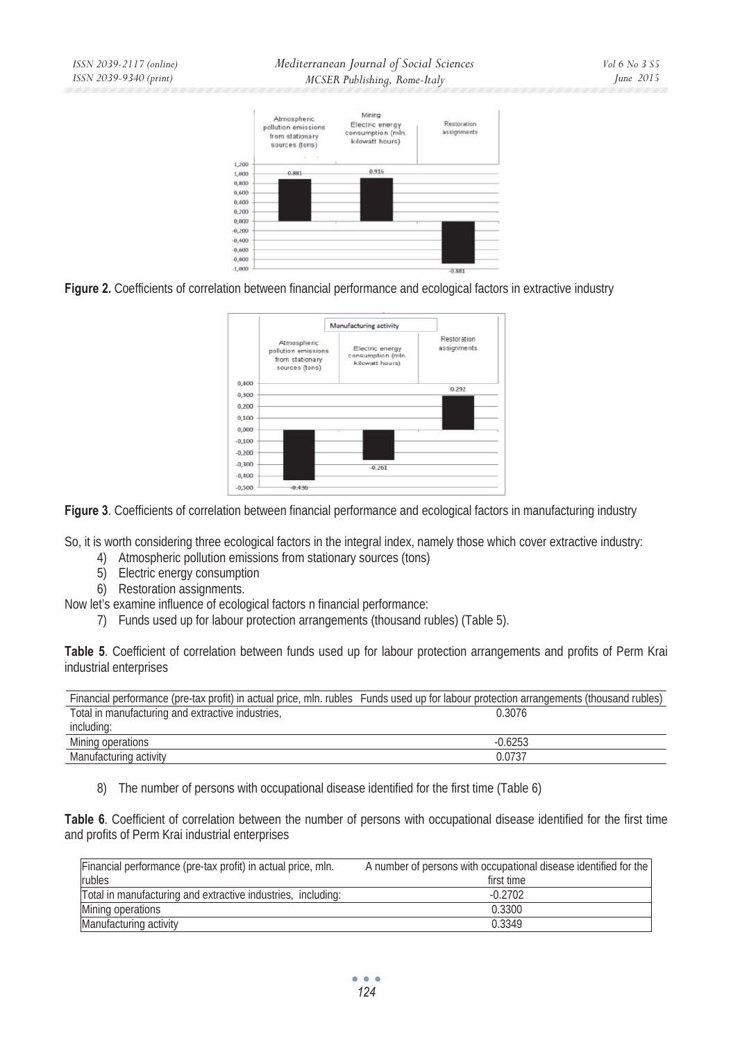

**Figure 2.** Coefficients of correlation between financial performance and ecological factors in extractive industry

|          |                                                                         | Manufacturing activity                                  |                            |
|----------|-------------------------------------------------------------------------|---------------------------------------------------------|----------------------------|
|          | Atmospheric<br>pollution emissions<br>from stationary<br>sources (tons) | Electric energy<br>consumption (mln.<br>kilowatt hours) | Restoration<br>assignments |
| 0,400    |                                                                         |                                                         | 0.292                      |
| 0,300    |                                                                         |                                                         |                            |
| 0,200    |                                                                         |                                                         |                            |
| 0,100    |                                                                         |                                                         |                            |
| 0,000    |                                                                         |                                                         |                            |
| $-0,100$ |                                                                         |                                                         |                            |
| $-0,200$ |                                                                         |                                                         |                            |
| $-0,300$ |                                                                         | $-0.261$                                                |                            |
|          |                                                                         |                                                         |                            |
| $-0,400$ |                                                                         |                                                         |                            |

**Figure 3**. Coefficients of correlation between financial performance and ecological factors in manufacturing industry

So, it is worth considering three ecological factors in the integral index, namely those which cover extractive industry:

- 4) Atmospheric pollution emissions from stationary sources (tons)
- 5) Electric energy consumption
- 6) Restoration assignments.
- Now let's examine influence of ecological factors n financial performance:
	- 7) Funds used up for labour protection arrangements (thousand rubles) (Table 5).

**Table 5**. Coefficient of correlation between funds used up for labour protection arrangements and profits of Perm Krai industrial enterprises

|                                                   | Financial performance (pre-tax profit) in actual price, mln. rubles Funds used up for labour protection arrangements (thousand rubles) |
|---------------------------------------------------|----------------------------------------------------------------------------------------------------------------------------------------|
| Total in manufacturing and extractive industries, | 0.3076                                                                                                                                 |
| including:                                        |                                                                                                                                        |
| Mining operations                                 | $-0.6253$                                                                                                                              |
| Manufacturing activity                            | 0.0737                                                                                                                                 |

8) The number of persons with occupational disease identified for the first time (Table 6)

**Table 6**. Coefficient of correlation between the number of persons with occupational disease identified for the first time and profits of Perm Krai industrial enterprises

| Financial performance (pre-tax profit) in actual price, mln. | A number of persons with occupational disease identified for the |
|--------------------------------------------------------------|------------------------------------------------------------------|
| rubles                                                       | first time                                                       |
| Total in manufacturing and extractive industries, including: | $-0.2702$                                                        |
| Mining operations                                            | 0.3300                                                           |
| Manufacturing activity                                       | 0.3349                                                           |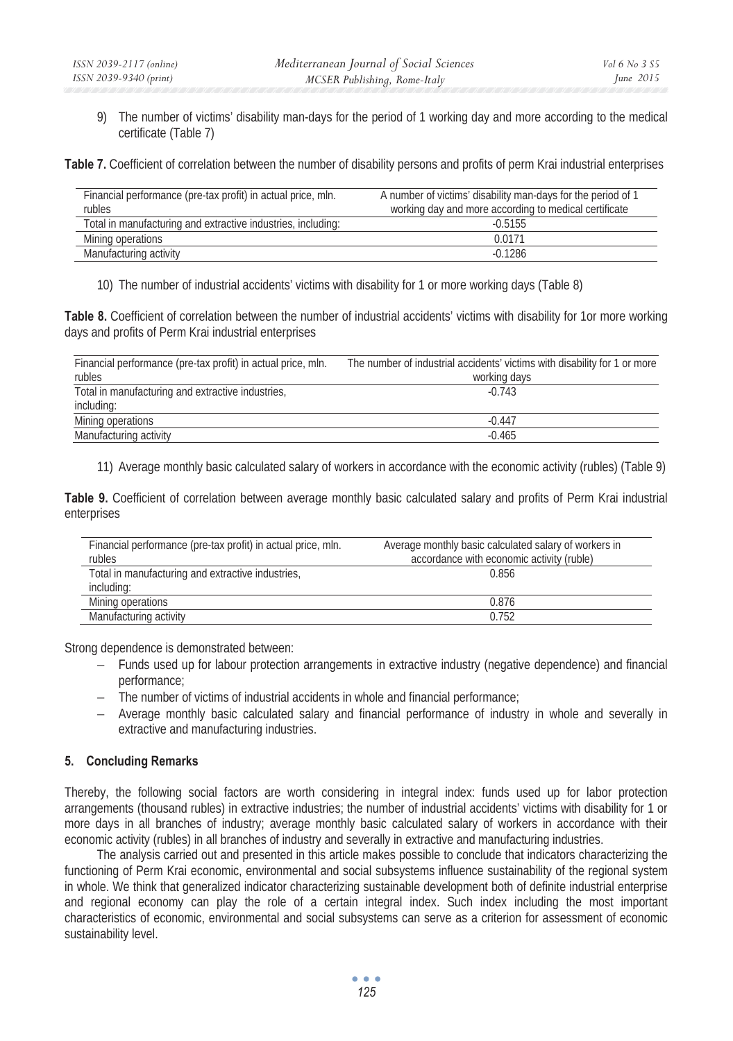9) The number of victims' disability man-days for the period of 1 working day and more according to the medical certificate (Table 7)

**Table 7.** Coefficient of correlation between the number of disability persons and profits of perm Krai industrial enterprises

| Financial performance (pre-tax profit) in actual price, mln.<br>rubles | A number of victims' disability man-days for the period of 1<br>working day and more according to medical certificate |
|------------------------------------------------------------------------|-----------------------------------------------------------------------------------------------------------------------|
| Total in manufacturing and extractive industries, including:           | $-0.5155$                                                                                                             |
| Mining operations                                                      | 0.0171                                                                                                                |
| Manufacturing activity                                                 | $-0.1286$                                                                                                             |

10) The number of industrial accidents' victims with disability for 1 or more working days (Table 8)

Table 8. Coefficient of correlation between the number of industrial accidents' victims with disability for 1or more working days and profits of Perm Krai industrial enterprises

| Financial performance (pre-tax profit) in actual price, mln. | The number of industrial accidents' victims with disability for 1 or more |
|--------------------------------------------------------------|---------------------------------------------------------------------------|
| rubles                                                       | working days                                                              |
| Total in manufacturing and extractive industries,            | $-0.743$                                                                  |
| including:                                                   |                                                                           |
| Mining operations                                            | $-0.447$                                                                  |
| Manufacturing activity                                       | $-0.465$                                                                  |

11) Average monthly basic calculated salary of workers in accordance with the economic activity (rubles) (Table 9)

**Table 9.** Coefficient of correlation between average monthly basic calculated salary and profits of Perm Krai industrial enterprises

| Financial performance (pre-tax profit) in actual price, mln. | Average monthly basic calculated salary of workers in |
|--------------------------------------------------------------|-------------------------------------------------------|
| rubles                                                       | accordance with economic activity (ruble)             |
| Total in manufacturing and extractive industries,            | 0.856                                                 |
| including:                                                   |                                                       |
| Mining operations                                            | 0.876                                                 |
| Manufacturing activity                                       | 0.752                                                 |

Strong dependence is demonstrated between:

- − Funds used up for labour protection arrangements in extractive industry (negative dependence) and financial performance;
- − The number of victims of industrial accidents in whole and financial performance;
- − Average monthly basic calculated salary and financial performance of industry in whole and severally in extractive and manufacturing industries.

# **5. Concluding Remarks**

Thereby, the following social factors are worth considering in integral index: funds used up for labor protection arrangements (thousand rubles) in extractive industries; the number of industrial accidents' victims with disability for 1 or more days in all branches of industry; average monthly basic calculated salary of workers in accordance with their economic activity (rubles) in all branches of industry and severally in extractive and manufacturing industries.

The analysis carried out and presented in this article makes possible to conclude that indicators characterizing the functioning of Perm Krai economic, environmental and social subsystems influence sustainability of the regional system in whole. We think that generalized indicator characterizing sustainable development both of definite industrial enterprise and regional economy can play the role of a certain integral index. Such index including the most important characteristics of economic, environmental and social subsystems can serve as a criterion for assessment of economic sustainability level.